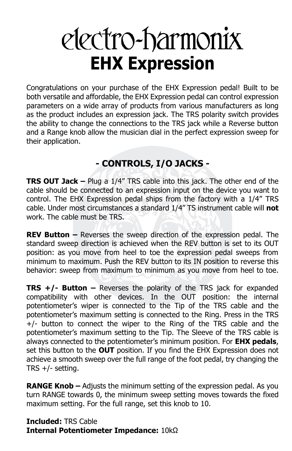# electro-harmonix **EHX Expression**

Congratulations on your purchase of the EHX Expression pedal! Built to be both versatile and affordable, the EHX Expression pedal can control expression parameters on a wide array of products from various manufacturers as long as the product includes an expression jack. The TRS polarity switch provides the ability to change the connections to the TRS jack while a Reverse button and a Range knob allow the musician dial in the perfect expression sweep for their application.

## **- CONTROLS, I/O JACKS -**

**TRS OUT Jack –** Plug a 1/4" TRS cable into this jack. The other end of the cable should be connected to an expression input on the device you want to control. The EHX Expression pedal ships from the factory with a 1/4" TRS cable. Under most circumstances a standard 1/4" TS instrument cable will **not** work. The cable must be TRS.

**REV Button –** Reverses the sweep direction of the expression pedal. The standard sweep direction is achieved when the REV button is set to its OUT position: as you move from heel to toe the expression pedal sweeps from minimum to maximum. Push the REV button to its IN position to reverse this behavior: sweep from maximum to minimum as you move from heel to toe.

**TRS +/- Button –** Reverses the polarity of the TRS jack for expanded compatibility with other devices. In the OUT position: the internal potentiometer's wiper is connected to the Tip of the TRS cable and the potentiometer's maximum setting is connected to the Ring. Press in the TRS +/- button to connect the wiper to the Ring of the TRS cable and the potentiometer's maximum setting to the Tip. The Sleeve of the TRS cable is always connected to the potentiometer's minimum position. For **EHX pedals**, set this button to the **OUT** position. If you find the EHX Expression does not achieve a smooth sweep over the full range of the foot pedal, try changing the TRS +/- setting.

**RANGE Knob –** Adjusts the minimum setting of the expression pedal. As you turn RANGE towards 0, the minimum sweep setting moves towards the fixed maximum setting. For the full range, set this knob to 10.

**Included:** TRS Cable **Internal Potentiometer Impedance:** 10kΩ